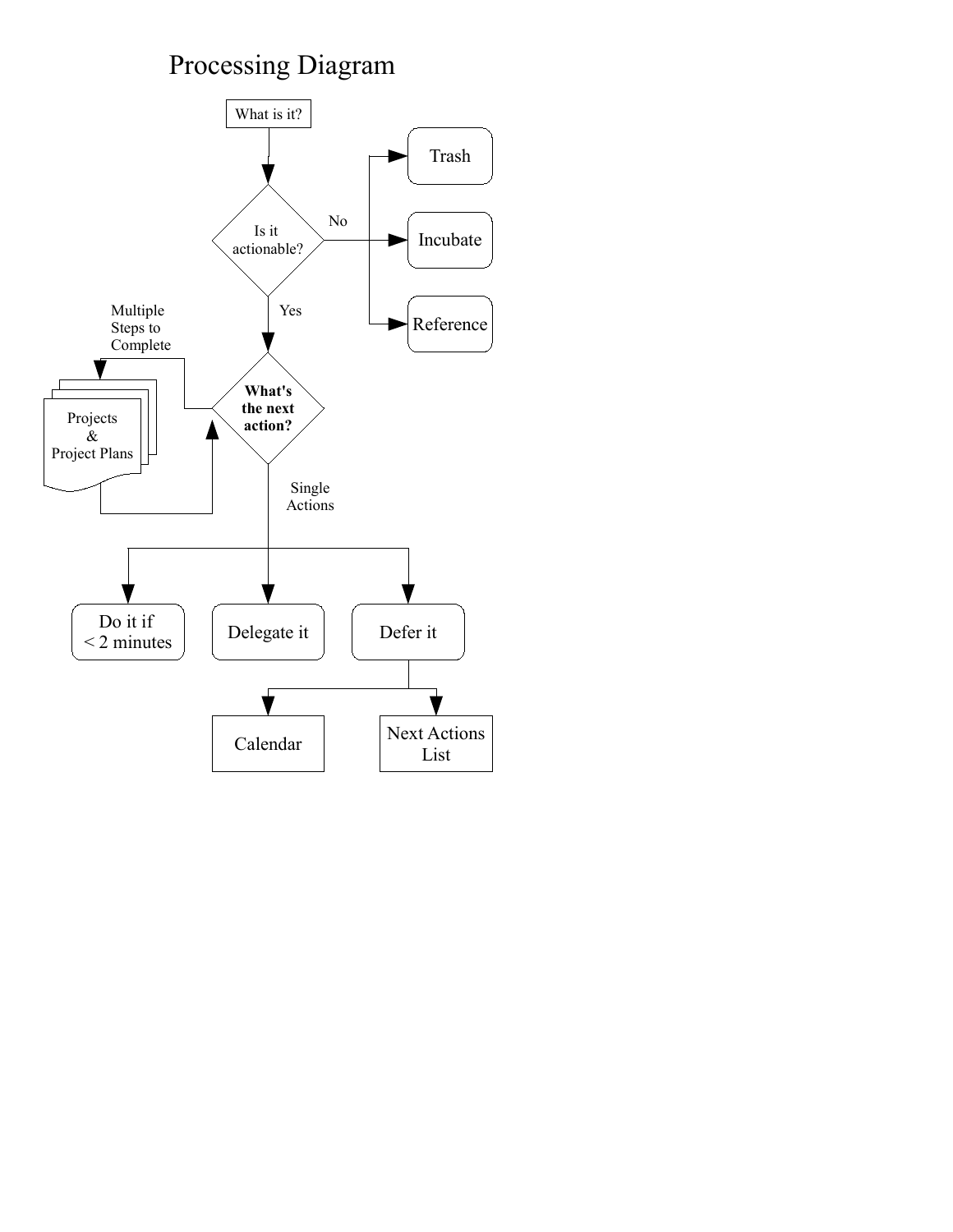# Processing Diagram

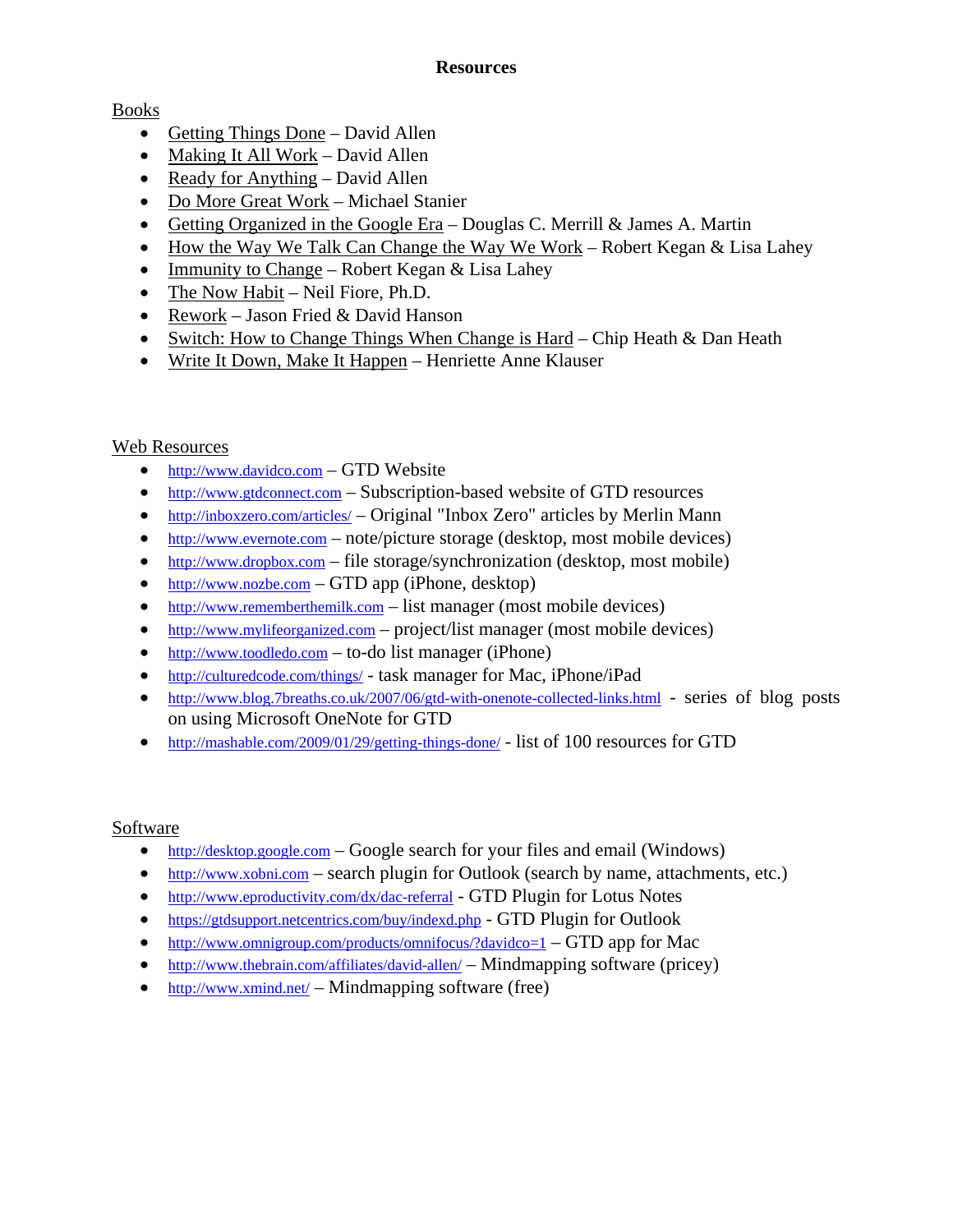## **Resources**

# Books

- Getting Things Done David Allen
- Making It All Work David Allen
- Ready for Anything David Allen
- Do More Great Work Michael Stanier
- Getting Organized in the Google Era Douglas C. Merrill  $\&$  James A. Martin
- How the Way We Talk Can Change the Way We Work Robert Kegan & Lisa Lahey
- Immunity to Change Robert Kegan & Lisa Lahey
- The Now Habit Neil Fiore, Ph.D.
- Rework Jason Fried & David Hanson
- Switch: How to Change Things When Change is Hard Chip Heath & Dan Heath
- Write It Down, Make It Happen Henriette Anne Klauser

# Web Resources

- [http://www.davidco.com](http://www.davidco.com/) GTD Website
- [http://www.gtdconnect.com](http://www.gtdconnect.com/)  Subscription-based website of GTD resources
- <http://inboxzero.com/articles/> Original "Inbox Zero" articles by Merlin Mann
- [http://www.evernote.com](http://www.evernote.com/) note/picture storage (desktop, most mobile devices)
- [http://www.dropbox.com](http://www.dropbox.com/) file storage/synchronization (desktop, most mobile)
- [http://www.nozbe.com](http://www.nozbe.com/)  GTD app (iPhone, desktop)
- [http://www.rememberthemilk.com](http://www.rememberthemilk.com/)  list manager (most mobile devices)
- [http://www.mylifeorganized.com](http://www.mylifeorganized.com/) project/list manager (most mobile devices)
- [http://www.toodledo.com](http://www.toodledo.com/)  to-do list manager (iPhone)
- <http://culturedcode.com/things/> task manager for Mac, iPhone/iPad
- <http://www.blog.7breaths.co.uk/2007/06/gtd-with-onenote-collected-links.html> series of blog posts on using Microsoft OneNote for GTD
- <http://mashable.com/2009/01/29/getting-things-done/> list of 100 resources for GTD

# Software

- [http://desktop.google.com](http://desktop.google.com/) Google search for your files and email (Windows)
- [http://www.xobni.com](http://www.xobni.com/)  search plugin for Outlook (search by name, attachments, etc.)
- <http://www.eproductivity.com/dx/dac-referral> GTD Plugin for Lotus Notes
- <https://gtdsupport.netcentrics.com/buy/indexd.php> GTD Plugin for Outlook
- <http://www.omnigroup.com/products/omnifocus/?davidco=1> GTD app for Mac
- <http://www.thebrain.com/affiliates/david-allen/> Mindmapping software (pricey)
- <http://www.xmind.net/> Mindmapping software (free)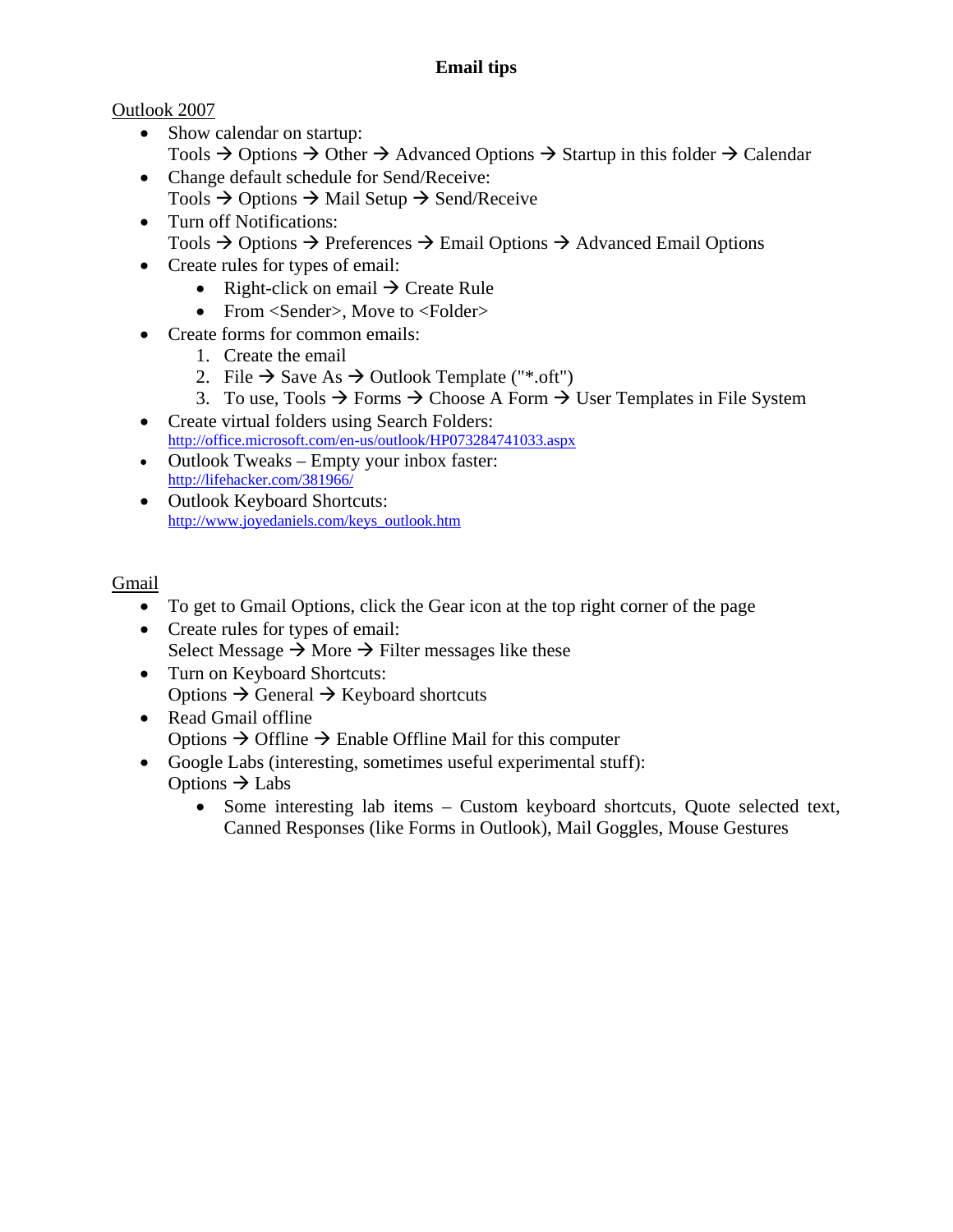# **Email tips**

# Outlook 2007

- Show calendar on startup: Tools  $\rightarrow$  Options  $\rightarrow$  Other  $\rightarrow$  Advanced Options  $\rightarrow$  Startup in this folder  $\rightarrow$  Calendar
- Change default schedule for Send/Receive:
- Tools  $\rightarrow$  Options  $\rightarrow$  Mail Setup  $\rightarrow$  Send/Receive
- Turn off Notifications: Tools  $\rightarrow$  Options  $\rightarrow$  Preferences  $\rightarrow$  Email Options  $\rightarrow$  Advanced Email Options
- Create rules for types of email:
	- Right-click on email  $\rightarrow$  Create Rule
	- From <Sender>. Move to <Folder>
- Create forms for common emails:
	- 1. Create the email
	- 2. File  $\rightarrow$  Save As  $\rightarrow$  Outlook Template ("\*.oft")
	- 3. To use, Tools  $\rightarrow$  Forms  $\rightarrow$  Choose A Form  $\rightarrow$  User Templates in File System
- Create virtual folders using Search Folders: <http://office.microsoft.com/en-us/outlook/HP073284741033.aspx>
- Outlook Tweaks Empty your inbox faster: <http://lifehacker.com/381966/>
- Outlook Keyboard Shortcuts: [http://www.joyedaniels.com/keys\\_outlook.htm](http://www.joyedaniels.com/keys_outlook.htm)

# Gmail

- To get to Gmail Options, click the Gear icon at the top right corner of the page
- Create rules for types of email: Select Message  $\rightarrow$  More  $\rightarrow$  Filter messages like these
- Turn on Keyboard Shortcuts: Options  $\rightarrow$  General  $\rightarrow$  Keyboard shortcuts
- Read Gmail offline Options  $\rightarrow$  Offline  $\rightarrow$  Enable Offline Mail for this computer
- Google Labs (interesting, sometimes useful experimental stuff): Options  $\rightarrow$  Labs
	- Some interesting lab items Custom keyboard shortcuts, Quote selected text, Canned Responses (like Forms in Outlook), Mail Goggles, Mouse Gestures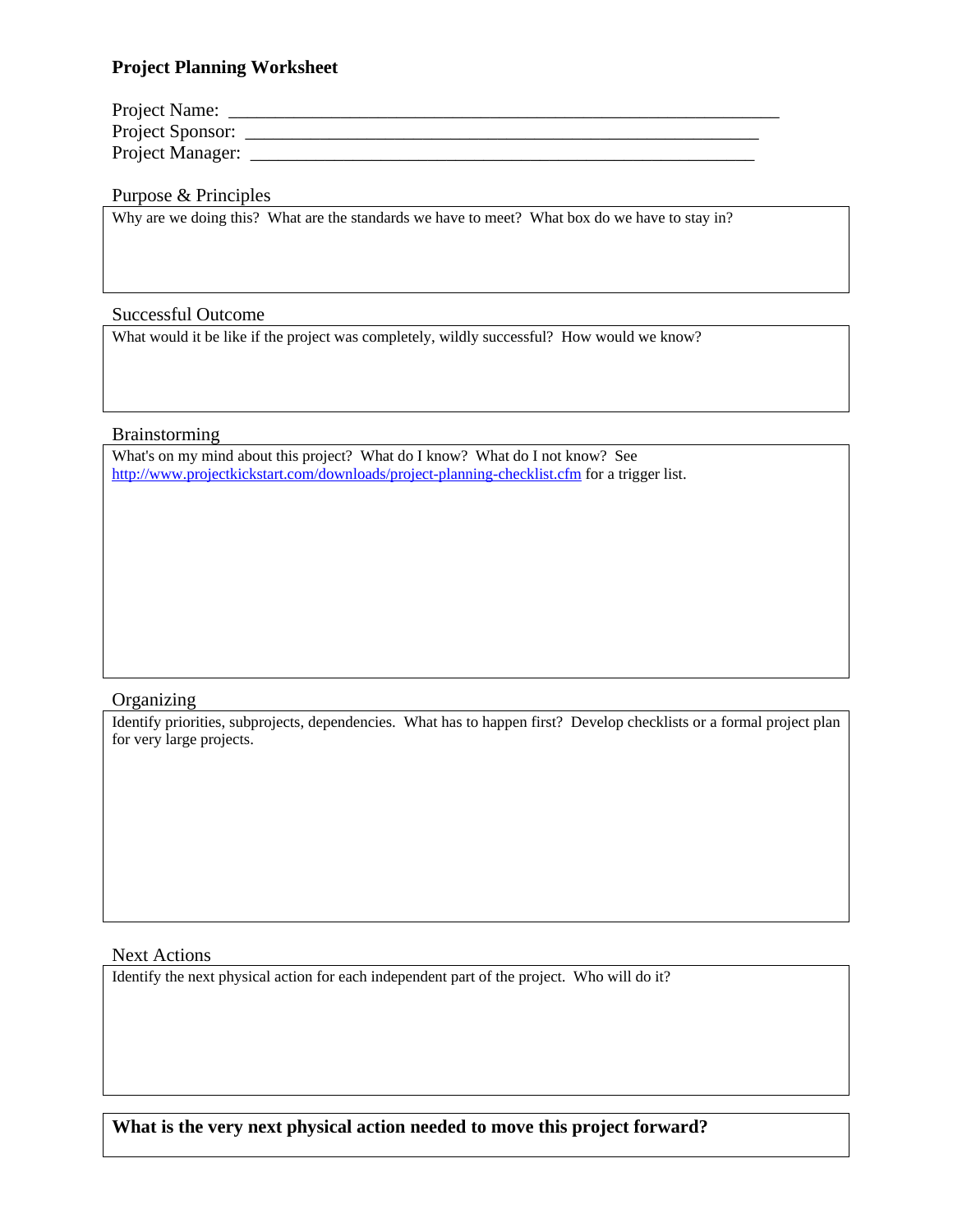## **Project Planning Worksheet**

| Project Name:    |  |
|------------------|--|
| Project Sponsor: |  |
| Project Manager: |  |

## Purpose & Principles

Why are we doing this? What are the standards we have to meet? What box do we have to stay in?

## Successful Outcome

What would it be like if the project was completely, wildly successful? How would we know?

## Brainstorming

What's on my mind about this project? What do I know? What do I not know? See <http://www.projectkickstart.com/downloads/project-planning-checklist.cfm>for a trigger list.

#### **Organizing**

Identify priorities, subprojects, dependencies. What has to happen first? Develop checklists or a formal project plan for very large projects.

## Next Actions

Identify the next physical action for each independent part of the project. Who will do it?

**What is the very next physical action needed to move this project forward?**